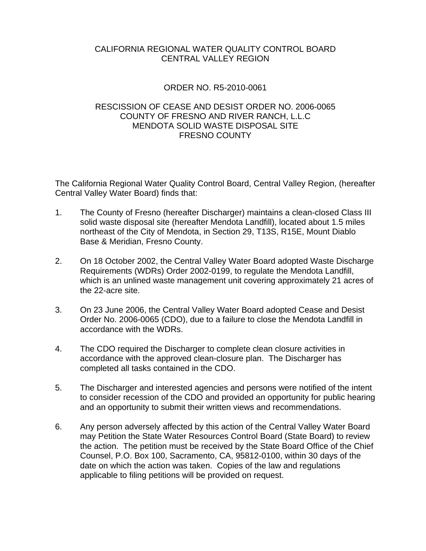## CALIFORNIA REGIONAL WATER QUALITY CONTROL BOARD CENTRAL VALLEY REGION

## ORDER NO. R5-2010-0061

## RESCISSION OF CEASE AND DESIST ORDER NO. 2006-0065 COUNTY OF FRESNO AND RIVER RANCH, L.L.C MENDOTA SOLID WASTE DISPOSAL SITE FRESNO COUNTY

The California Regional Water Quality Control Board, Central Valley Region, (hereafter Central Valley Water Board) finds that:

- 1. The County of Fresno (hereafter Discharger) maintains a clean-closed Class III solid waste disposal site (hereafter Mendota Landfill), located about 1.5 miles northeast of the City of Mendota, in Section 29, T13S, R15E, Mount Diablo Base & Meridian, Fresno County.
- 2. On 18 October 2002, the Central Valley Water Board adopted Waste Discharge Requirements (WDRs) Order 2002-0199, to regulate the Mendota Landfill, which is an unlined waste management unit covering approximately 21 acres of the 22-acre site.
- 3. On 23 June 2006, the Central Valley Water Board adopted Cease and Desist Order No. 2006-0065 (CDO), due to a failure to close the Mendota Landfill in accordance with the WDRs.
- 4. The CDO required the Discharger to complete clean closure activities in accordance with the approved clean-closure plan. The Discharger has completed all tasks contained in the CDO.
- 5. The Discharger and interested agencies and persons were notified of the intent to consider recession of the CDO and provided an opportunity for public hearing and an opportunity to submit their written views and recommendations.
- 6. Any person adversely affected by this action of the Central Valley Water Board may Petition the State Water Resources Control Board (State Board) to review the action. The petition must be received by the State Board Office of the Chief Counsel, P.O. Box 100, Sacramento, CA, 95812-0100, within 30 days of the date on which the action was taken. Copies of the law and regulations applicable to filing petitions will be provided on request.